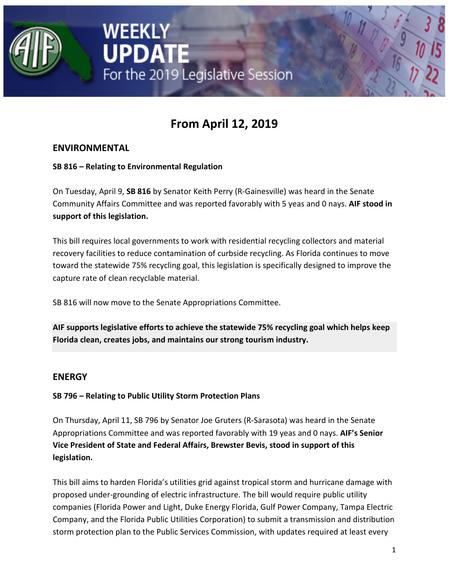

# **From April 12, 2019**

For the 2019 Legislative Session

# **ENVIRONMENTAL**

#### **SB 816 – Relating to Environmental Regulation**

WEEKLY

**UPDATE** 

On Tuesday, April 9, **SB 816** by Senator Keith Perry (R-Gainesville) was heard in the Senate Community Affairs Committee and was reported favorably with 5 yeas and 0 nays. **AIF stood in support of this legislation.**

This bill requires local governments to work with residential recycling collectors and material recovery facilities to reduce contamination of curbside recycling. As Florida continues to move toward the statewide 75% recycling goal, this legislation is specifically designed to improve the capture rate of clean recyclable material.

SB 816 will now move to the Senate Appropriations Committee.

**AIF supports legislative efforts to achieve the statewide 75% recycling goal which helps keep Florida clean, creates jobs, and maintains our strong tourism industry.**

#### **ENERGY**

#### **SB 796 – Relating to Public Utility Storm Protection Plans**

On Thursday, April 11, SB 796 by Senator Joe Gruters (R-Sarasota) was heard in the Senate Appropriations Committee and was reported favorably with 19 yeas and 0 nays. **AIF's Senior Vice President of State and Federal Affairs, Brewster Bevis, stood in support of this legislation.**

This bill aims to harden Florida's utilities grid against tropical storm and hurricane damage with proposed under-grounding of electric infrastructure. The bill would require public utility companies (Florida Power and Light, Duke Energy Florida, Gulf Power Company, Tampa Electric Company, and the Florida Public Utilities Corporation) to submit a transmission and distribution storm protection plan to the Public Services Commission, with updates required at least every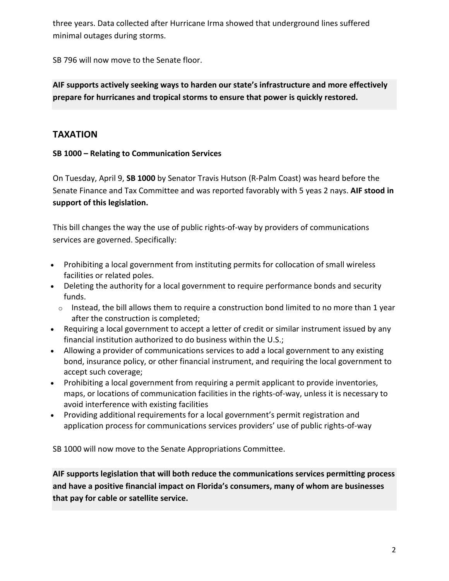three years. Data collected after Hurricane Irma showed that underground lines suffered minimal outages during storms.

SB 796 will now move to the Senate floor.

# **AIF supports actively seeking ways to harden our state's infrastructure and more effectively prepare for hurricanes and tropical storms to ensure that power is quickly restored.**

# **TAXATION**

#### **SB 1000 – Relating to Communication Services**

On Tuesday, April 9, **SB 1000** by Senator Travis Hutson (R-Palm Coast) was heard before the Senate Finance and Tax Committee and was reported favorably with 5 yeas 2 nays. **AIF stood in support of this legislation.**

This bill changes the way the use of public rights-of-way by providers of communications services are governed. Specifically:

- Prohibiting a local government from instituting permits for collocation of small wireless facilities or related poles.
- Deleting the authority for a local government to require performance bonds and security funds.
	- $\circ$  Instead, the bill allows them to require a construction bond limited to no more than 1 year after the construction is completed;
- Requiring a local government to accept a letter of credit or similar instrument issued by any financial institution authorized to do business within the U.S.;
- Allowing a provider of communications services to add a local government to any existing bond, insurance policy, or other financial instrument, and requiring the local government to accept such coverage;
- Prohibiting a local government from requiring a permit applicant to provide inventories, maps, or locations of communication facilities in the rights-of-way, unless it is necessary to avoid interference with existing facilities
- Providing additional requirements for a local government's permit registration and application process for communications services providers' use of public rights-of-way

SB 1000 will now move to the Senate Appropriations Committee.

**AIF supports legislation that will both reduce the communications services permitting process and have a positive financial impact on Florida's consumers, many of whom are businesses that pay for cable or satellite service.**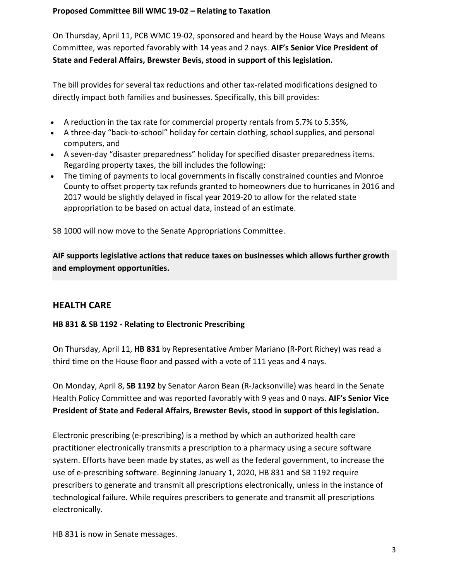#### **Proposed Committee Bill WMC 19-02 – Relating to Taxation**

On Thursday, April 11, PCB WMC 19-02, sponsored and heard by the House Ways and Means Committee, was reported favorably with 14 yeas and 2 nays. **AIF's Senior Vice President of State and Federal Affairs, Brewster Bevis, stood in support of this legislation.**

The bill provides for several tax reductions and other tax-related modifications designed to directly impact both families and businesses. Specifically, this bill provides:

- A reduction in the tax rate for commercial property rentals from 5.7% to 5.35%,
- A three-day "back-to-school" holiday for certain clothing, school supplies, and personal computers, and
- A seven-day "disaster preparedness" holiday for specified disaster preparedness items. Regarding property taxes, the bill includes the following:
- The timing of payments to local governments in fiscally constrained counties and Monroe County to offset property tax refunds granted to homeowners due to hurricanes in 2016 and 2017 would be slightly delayed in fiscal year 2019-20 to allow for the related state appropriation to be based on actual data, instead of an estimate.

SB 1000 will now move to the Senate Appropriations Committee.

**AIF supports legislative actions that reduce taxes on businesses which allows further growth and employment opportunities.**

# **HEALTH CARE**

#### **HB 831 & SB 1192 - Relating to Electronic Prescribing**

On Thursday, April 11, **HB 831** by Representative Amber Mariano (R-Port Richey) was read a third time on the House floor and passed with a vote of 111 yeas and 4 nays.

On Monday, April 8, **SB 1192** by Senator Aaron Bean (R-Jacksonville) was heard in the Senate Health Policy Committee and was reported favorably with 9 yeas and 0 nays. **AIF's Senior Vice President of State and Federal Affairs, Brewster Bevis, stood in support of this legislation.**

Electronic prescribing (e-prescribing) is a method by which an authorized health care practitioner electronically transmits a prescription to a pharmacy using a secure software system. Efforts have been made by states, as well as the federal government, to increase the use of e-prescribing software. Beginning January 1, 2020, HB 831 and SB 1192 require prescribers to generate and transmit all prescriptions electronically, unless in the instance of technological failure. While requires prescribers to generate and transmit all prescriptions electronically.

HB 831 is now in Senate messages.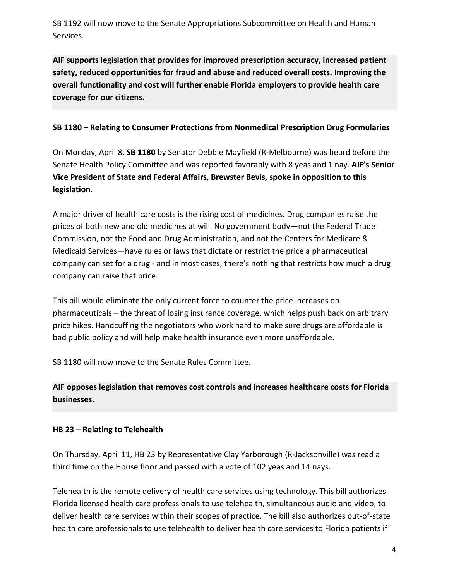SB 1192 will now move to the Senate Appropriations Subcommittee on Health and Human Services.

**AIF supports legislation that provides for improved prescription accuracy, increased patient safety, reduced opportunities for fraud and abuse and reduced overall costs. Improving the overall functionality and cost will further enable Florida employers to provide health care coverage for our citizens.**

#### **SB 1180 – Relating to Consumer Protections from Nonmedical Prescription Drug Formularies**

On Monday, April 8, **SB 1180** by Senator Debbie Mayfield (R-Melbourne) was heard before the Senate Health Policy Committee and was reported favorably with 8 yeas and 1 nay. **AIF's Senior Vice President of State and Federal Affairs, Brewster Bevis, spoke in opposition to this legislation.**

A major driver of health care costs is the rising cost of medicines. Drug companies raise the prices of both new and old medicines at will. No government body—not the Federal Trade Commission, not the Food and Drug Administration, and not the Centers for Medicare & Medicaid Services—have rules or laws that dictate or restrict the price a pharmaceutical company can set for a drug - and in most cases, there's nothing that restricts how much a drug company can raise that price.

This bill would eliminate the only current force to counter the price increases on pharmaceuticals – the threat of losing insurance coverage, which helps push back on arbitrary price hikes. Handcuffing the negotiators who work hard to make sure drugs are affordable is bad public policy and will help make health insurance even more unaffordable.

SB 1180 will now move to the Senate Rules Committee.

**AIF opposes legislation that removes cost controls and increases healthcare costs for Florida businesses.**

#### **HB 23 – Relating to Telehealth**

On Thursday, April 11, HB 23 by Representative Clay Yarborough (R-Jacksonville) was read a third time on the House floor and passed with a vote of 102 yeas and 14 nays.

Telehealth is the remote delivery of health care services using technology. This bill authorizes Florida licensed health care professionals to use telehealth, simultaneous audio and video, to deliver health care services within their scopes of practice. The bill also authorizes out-of-state health care professionals to use telehealth to deliver health care services to Florida patients if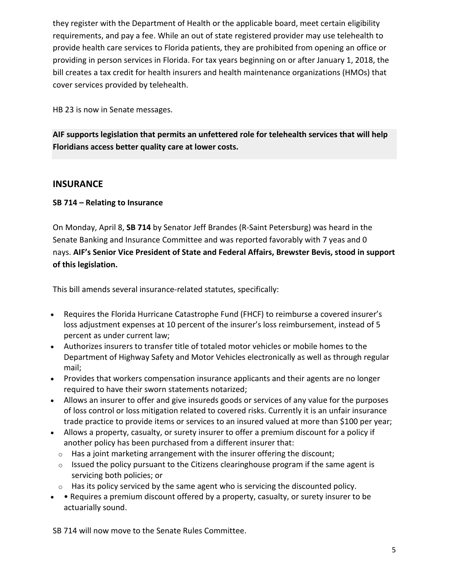they register with the Department of Health or the applicable board, meet certain eligibility requirements, and pay a fee. While an out of state registered provider may use telehealth to provide health care services to Florida patients, they are prohibited from opening an office or providing in person services in Florida. For tax years beginning on or after January 1, 2018, the bill creates a tax credit for health insurers and health maintenance organizations (HMOs) that cover services provided by telehealth.

HB 23 is now in Senate messages.

**AIF supports legislation that permits an unfettered role for telehealth services that will help Floridians access better quality care at lower costs.**

# **INSURANCE**

#### **SB 714 – Relating to Insurance**

On Monday, April 8, **SB 714** by Senator Jeff Brandes (R-Saint Petersburg) was heard in the Senate Banking and Insurance Committee and was reported favorably with 7 yeas and 0 nays. **AIF's Senior Vice President of State and Federal Affairs, Brewster Bevis, stood in support of this legislation.**

This bill amends several insurance-related statutes, specifically:

- Requires the Florida Hurricane Catastrophe Fund (FHCF) to reimburse a covered insurer's loss adjustment expenses at 10 percent of the insurer's loss reimbursement, instead of 5 percent as under current law;
- Authorizes insurers to transfer title of totaled motor vehicles or mobile homes to the Department of Highway Safety and Motor Vehicles electronically as well as through regular mail;
- Provides that workers compensation insurance applicants and their agents are no longer required to have their sworn statements notarized;
- Allows an insurer to offer and give insureds goods or services of any value for the purposes of loss control or loss mitigation related to covered risks. Currently it is an unfair insurance trade practice to provide items or services to an insured valued at more than \$100 per year;
- Allows a property, casualty, or surety insurer to offer a premium discount for a policy if another policy has been purchased from a different insurer that:
	- $\circ$  Has a joint marketing arrangement with the insurer offering the discount;
	- $\circ$  Issued the policy pursuant to the Citizens clearinghouse program if the same agent is servicing both policies; or
	- $\circ$  Has its policy serviced by the same agent who is servicing the discounted policy.
- • Requires a premium discount offered by a property, casualty, or surety insurer to be actuarially sound.

SB 714 will now move to the Senate Rules Committee.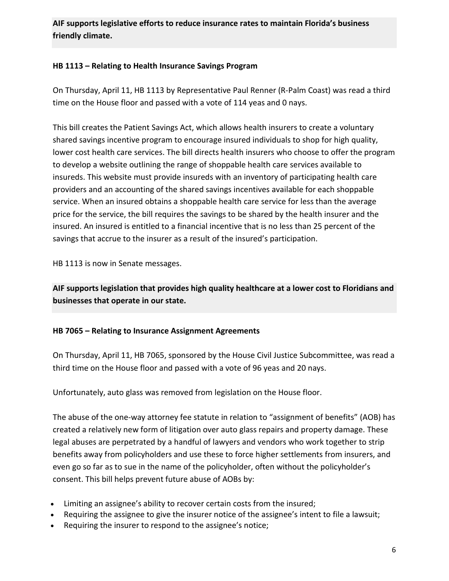# **AIF supports legislative efforts to reduce insurance rates to maintain Florida's business friendly climate.**

#### **HB 1113 – Relating to Health Insurance Savings Program**

On Thursday, April 11, HB 1113 by Representative Paul Renner (R-Palm Coast) was read a third time on the House floor and passed with a vote of 114 yeas and 0 nays.

This bill creates the Patient Savings Act, which allows health insurers to create a voluntary shared savings incentive program to encourage insured individuals to shop for high quality, lower cost health care services. The bill directs health insurers who choose to offer the program to develop a website outlining the range of shoppable health care services available to insureds. This website must provide insureds with an inventory of participating health care providers and an accounting of the shared savings incentives available for each shoppable service. When an insured obtains a shoppable health care service for less than the average price for the service, the bill requires the savings to be shared by the health insurer and the insured. An insured is entitled to a financial incentive that is no less than 25 percent of the savings that accrue to the insurer as a result of the insured's participation.

HB 1113 is now in Senate messages.

**AIF supports legislation that provides high quality healthcare at a lower cost to Floridians and businesses that operate in our state.**

#### **HB 7065 – Relating to Insurance Assignment Agreements**

On Thursday, April 11, HB 7065, sponsored by the House Civil Justice Subcommittee, was read a third time on the House floor and passed with a vote of 96 yeas and 20 nays.

Unfortunately, auto glass was removed from legislation on the House floor.

The abuse of the one-way attorney fee statute in relation to "assignment of benefits" (AOB) has created a relatively new form of litigation over auto glass repairs and property damage. These legal abuses are perpetrated by a handful of lawyers and vendors who work together to strip benefits away from policyholders and use these to force higher settlements from insurers, and even go so far as to sue in the name of the policyholder, often without the policyholder's consent. This bill helps prevent future abuse of AOBs by:

- Limiting an assignee's ability to recover certain costs from the insured;
- Requiring the assignee to give the insurer notice of the assignee's intent to file a lawsuit;
- Requiring the insurer to respond to the assignee's notice;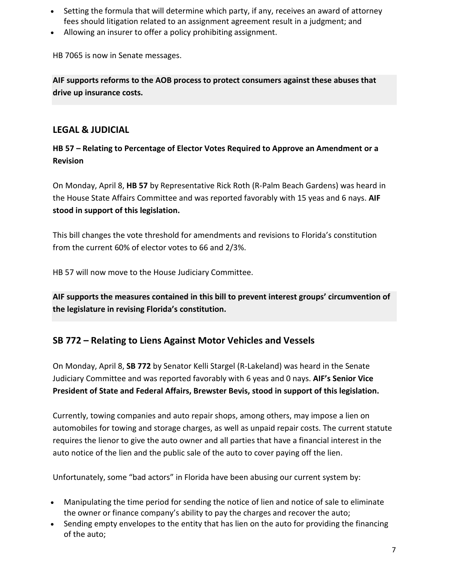- Setting the formula that will determine which party, if any, receives an award of attorney fees should litigation related to an assignment agreement result in a judgment; and
- Allowing an insurer to offer a policy prohibiting assignment.

HB 7065 is now in Senate messages.

**AIF supports reforms to the AOB process to protect consumers against these abuses that drive up insurance costs.**

# **LEGAL & JUDICIAL**

# **HB 57 – Relating to Percentage of Elector Votes Required to Approve an Amendment or a Revision**

On Monday, April 8, **HB 57** by Representative Rick Roth (R-Palm Beach Gardens) was heard in the House State Affairs Committee and was reported favorably with 15 yeas and 6 nays. **AIF stood in support of this legislation.**

This bill changes the vote threshold for amendments and revisions to Florida's constitution from the current 60% of elector votes to 66 and 2/3%.

HB 57 will now move to the House Judiciary Committee.

**AIF supports the measures contained in this bill to prevent interest groups' circumvention of the legislature in revising Florida's constitution.**

# **SB 772 – Relating to Liens Against Motor Vehicles and Vessels**

On Monday, April 8, **SB 772** by Senator Kelli Stargel (R-Lakeland) was heard in the Senate Judiciary Committee and was reported favorably with 6 yeas and 0 nays. **AIF's Senior Vice President of State and Federal Affairs, Brewster Bevis, stood in support of this legislation.**

Currently, towing companies and auto repair shops, among others, may impose a lien on automobiles for towing and storage charges, as well as unpaid repair costs. The current statute requires the lienor to give the auto owner and all parties that have a financial interest in the auto notice of the lien and the public sale of the auto to cover paying off the lien.

Unfortunately, some "bad actors" in Florida have been abusing our current system by:

- Manipulating the time period for sending the notice of lien and notice of sale to eliminate the owner or finance company's ability to pay the charges and recover the auto;
- Sending empty envelopes to the entity that has lien on the auto for providing the financing of the auto;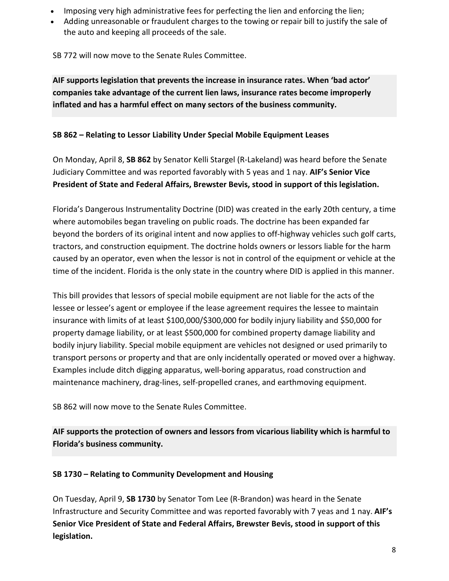- Imposing very high administrative fees for perfecting the lien and enforcing the lien;
- Adding unreasonable or fraudulent charges to the towing or repair bill to justify the sale of the auto and keeping all proceeds of the sale.

SB 772 will now move to the Senate Rules Committee.

**AIF supports legislation that prevents the increase in insurance rates. When 'bad actor' companies take advantage of the current lien laws, insurance rates become improperly inflated and has a harmful effect on many sectors of the business community.**

# **SB 862 – Relating to Lessor Liability Under Special Mobile Equipment Leases**

On Monday, April 8, **SB 862** by Senator Kelli Stargel (R-Lakeland) was heard before the Senate Judiciary Committee and was reported favorably with 5 yeas and 1 nay. **AIF's Senior Vice President of State and Federal Affairs, Brewster Bevis, stood in support of this legislation.**

Florida's Dangerous Instrumentality Doctrine (DID) was created in the early 20th century, a time where automobiles began traveling on public roads. The doctrine has been expanded far beyond the borders of its original intent and now applies to off-highway vehicles such golf carts, tractors, and construction equipment. The doctrine holds owners or lessors liable for the harm caused by an operator, even when the lessor is not in control of the equipment or vehicle at the time of the incident. Florida is the only state in the country where DID is applied in this manner.

This bill provides that lessors of special mobile equipment are not liable for the acts of the lessee or lessee's agent or employee if the lease agreement requires the lessee to maintain insurance with limits of at least \$100,000/\$300,000 for bodily injury liability and \$50,000 for property damage liability, or at least \$500,000 for combined property damage liability and bodily injury liability. Special mobile equipment are vehicles not designed or used primarily to transport persons or property and that are only incidentally operated or moved over a highway. Examples include ditch digging apparatus, well-boring apparatus, road construction and maintenance machinery, drag-lines, self-propelled cranes, and earthmoving equipment.

SB 862 will now move to the Senate Rules Committee.

**AIF supports the protection of owners and lessors from vicarious liability which is harmful to Florida's business community.**

# **SB 1730 – Relating to Community Development and Housing**

On Tuesday, April 9, **SB 1730** by Senator Tom Lee (R-Brandon) was heard in the Senate Infrastructure and Security Committee and was reported favorably with 7 yeas and 1 nay. **AIF's Senior Vice President of State and Federal Affairs, Brewster Bevis, stood in support of this legislation.**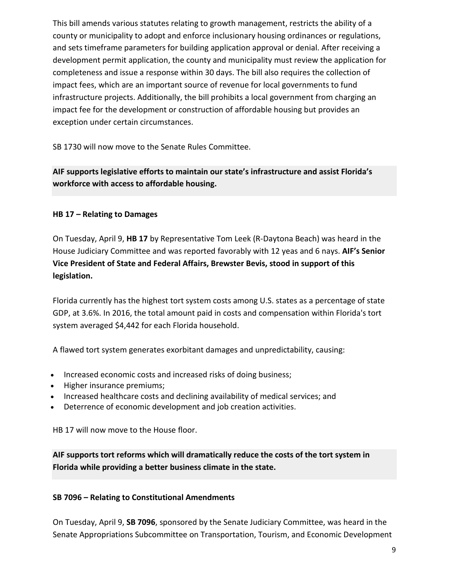This bill amends various statutes relating to growth management, restricts the ability of a county or municipality to adopt and enforce inclusionary housing ordinances or regulations, and sets timeframe parameters for building application approval or denial. After receiving a development permit application, the county and municipality must review the application for completeness and issue a response within 30 days. The bill also requires the collection of impact fees, which are an important source of revenue for local governments to fund infrastructure projects. Additionally, the bill prohibits a local government from charging an impact fee for the development or construction of affordable housing but provides an exception under certain circumstances.

SB 1730 will now move to the Senate Rules Committee.

# **AIF supports legislative efforts to maintain our state's infrastructure and assist Florida's workforce with access to affordable housing.**

# **HB 17 – Relating to Damages**

On Tuesday, April 9, **HB 17** by Representative Tom Leek (R-Daytona Beach) was heard in the House Judiciary Committee and was reported favorably with 12 yeas and 6 nays. **AIF's Senior Vice President of State and Federal Affairs, Brewster Bevis, stood in support of this legislation.**

Florida currently has the highest tort system costs among U.S. states as a percentage of state GDP, at 3.6%. In 2016, the total amount paid in costs and compensation within Florida's tort system averaged \$4,442 for each Florida household.

A flawed tort system generates exorbitant damages and unpredictability, causing:

- Increased economic costs and increased risks of doing business;
- Higher insurance premiums;
- Increased healthcare costs and declining availability of medical services; and
- Deterrence of economic development and job creation activities.

HB 17 will now move to the House floor.

**AIF supports tort reforms which will dramatically reduce the costs of the tort system in Florida while providing a better business climate in the state.**

#### **SB 7096 – Relating to Constitutional Amendments**

On Tuesday, April 9, **SB 7096**, sponsored by the Senate Judiciary Committee, was heard in the Senate Appropriations Subcommittee on Transportation, Tourism, and Economic Development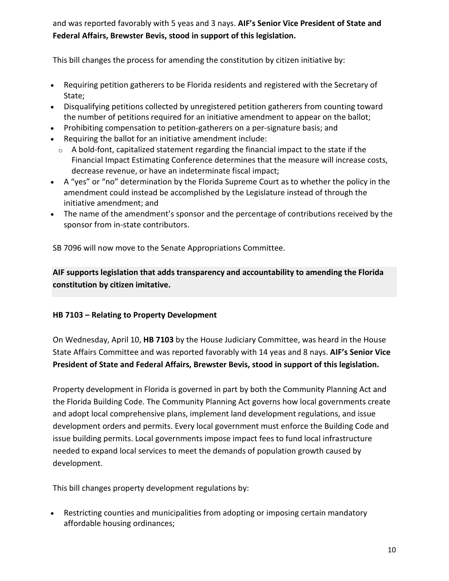and was reported favorably with 5 yeas and 3 nays. **AIF's Senior Vice President of State and Federal Affairs, Brewster Bevis, stood in support of this legislation.**

This bill changes the process for amending the constitution by citizen initiative by:

- Requiring petition gatherers to be Florida residents and registered with the Secretary of State;
- Disqualifying petitions collected by unregistered petition gatherers from counting toward the number of petitions required for an initiative amendment to appear on the ballot;
- Prohibiting compensation to petition-gatherers on a per-signature basis; and
- Requiring the ballot for an initiative amendment include:
	- $\circ$  A bold-font, capitalized statement regarding the financial impact to the state if the Financial Impact Estimating Conference determines that the measure will increase costs, decrease revenue, or have an indeterminate fiscal impact;
- A "yes" or "no" determination by the Florida Supreme Court as to whether the policy in the amendment could instead be accomplished by the Legislature instead of through the initiative amendment; and
- The name of the amendment's sponsor and the percentage of contributions received by the sponsor from in-state contributors.

SB 7096 will now move to the Senate Appropriations Committee.

**AIF supports legislation that adds transparency and accountability to amending the Florida constitution by citizen imitative.**

#### **HB 7103 – Relating to Property Development**

On Wednesday, April 10, **HB 7103** by the House Judiciary Committee, was heard in the House State Affairs Committee and was reported favorably with 14 yeas and 8 nays. **AIF's Senior Vice President of State and Federal Affairs, Brewster Bevis, stood in support of this legislation.**

Property development in Florida is governed in part by both the Community Planning Act and the Florida Building Code. The Community Planning Act governs how local governments create and adopt local comprehensive plans, implement land development regulations, and issue development orders and permits. Every local government must enforce the Building Code and issue building permits. Local governments impose impact fees to fund local infrastructure needed to expand local services to meet the demands of population growth caused by development.

This bill changes property development regulations by:

• Restricting counties and municipalities from adopting or imposing certain mandatory affordable housing ordinances;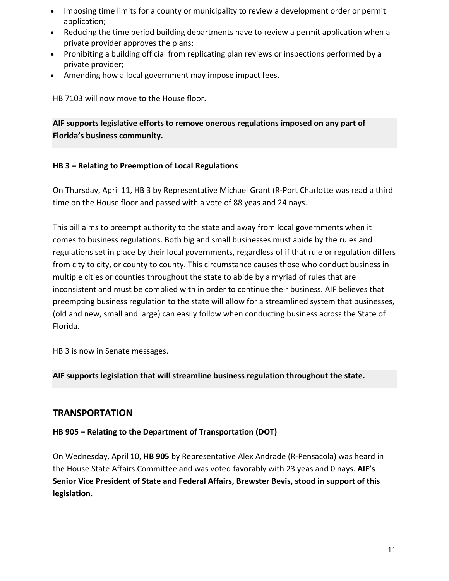- Imposing time limits for a county or municipality to review a development order or permit application;
- Reducing the time period building departments have to review a permit application when a private provider approves the plans;
- Prohibiting a building official from replicating plan reviews or inspections performed by a private provider;
- Amending how a local government may impose impact fees.

HB 7103 will now move to the House floor.

**AIF supports legislative efforts to remove onerous regulations imposed on any part of Florida's business community.**

# **HB 3 – Relating to Preemption of Local Regulations**

On Thursday, April 11, HB 3 by Representative Michael Grant (R-Port Charlotte was read a third time on the House floor and passed with a vote of 88 yeas and 24 nays.

This bill aims to preempt authority to the state and away from local governments when it comes to business regulations. Both big and small businesses must abide by the rules and regulations set in place by their local governments, regardless of if that rule or regulation differs from city to city, or county to county. This circumstance causes those who conduct business in multiple cities or counties throughout the state to abide by a myriad of rules that are inconsistent and must be complied with in order to continue their business. AIF believes that preempting business regulation to the state will allow for a streamlined system that businesses, (old and new, small and large) can easily follow when conducting business across the State of Florida.

HB 3 is now in Senate messages.

**AIF supports legislation that will streamline business regulation throughout the state.**

# **TRANSPORTATION**

#### **HB 905 – Relating to the Department of Transportation (DOT)**

On Wednesday, April 10, **HB 905** by Representative Alex Andrade (R-Pensacola) was heard in the House State Affairs Committee and was voted favorably with 23 yeas and 0 nays. **AIF's Senior Vice President of State and Federal Affairs, Brewster Bevis, stood in support of this legislation.**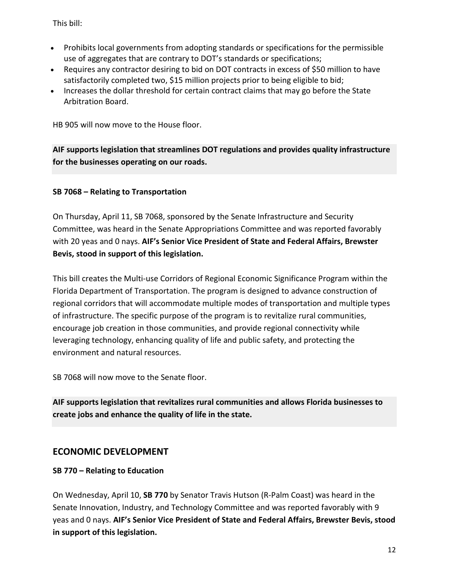This bill:

- Prohibits local governments from adopting standards or specifications for the permissible use of aggregates that are contrary to DOT's standards or specifications;
- Requires any contractor desiring to bid on DOT contracts in excess of \$50 million to have satisfactorily completed two, \$15 million projects prior to being eligible to bid;
- Increases the dollar threshold for certain contract claims that may go before the State Arbitration Board.

HB 905 will now move to the House floor.

**AIF supports legislation that streamlines DOT regulations and provides quality infrastructure for the businesses operating on our roads.**

#### **SB 7068 – Relating to Transportation**

On Thursday, April 11, SB 7068, sponsored by the Senate Infrastructure and Security Committee, was heard in the Senate Appropriations Committee and was reported favorably with 20 yeas and 0 nays. **AIF's Senior Vice President of State and Federal Affairs, Brewster Bevis, stood in support of this legislation.**

This bill creates the Multi-use Corridors of Regional Economic Significance Program within the Florida Department of Transportation. The program is designed to advance construction of regional corridors that will accommodate multiple modes of transportation and multiple types of infrastructure. The specific purpose of the program is to revitalize rural communities, encourage job creation in those communities, and provide regional connectivity while leveraging technology, enhancing quality of life and public safety, and protecting the environment and natural resources.

SB 7068 will now move to the Senate floor.

**AIF supports legislation that revitalizes rural communities and allows Florida businesses to create jobs and enhance the quality of life in the state.**

# **ECONOMIC DEVELOPMENT**

#### **SB 770 – Relating to Education**

On Wednesday, April 10, **SB 770** by Senator Travis Hutson (R-Palm Coast) was heard in the Senate Innovation, Industry, and Technology Committee and was reported favorably with 9 yeas and 0 nays. **AIF's Senior Vice President of State and Federal Affairs, Brewster Bevis, stood in support of this legislation.**